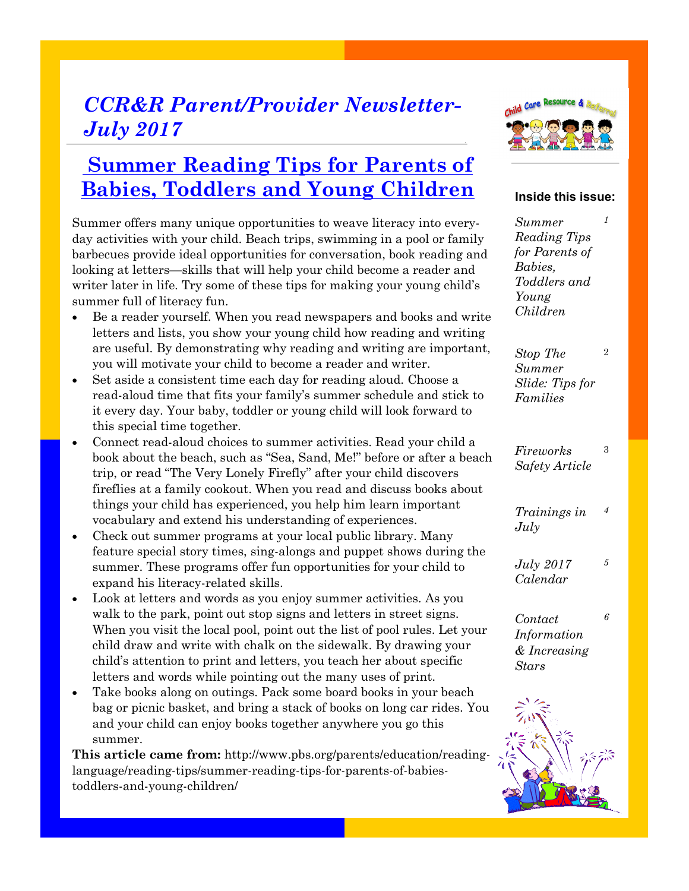## *CCR&R Parent/Provider Newsletter-July 2017*

### **Summer Reading Tips for Parents of Babies, Toddlers and Young Children**

Summer offers many unique opportunities to weave literacy into everyday activities with your child. Beach trips, swimming in a pool or family barbecues provide ideal opportunities for conversation, book reading and looking at letters—skills that will help your child become a reader and writer later in life. Try some of these tips for making your young child's summer full of literacy fun.

- Be a reader yourself. When you read newspapers and books and write letters and lists, you show your young child how reading and writing are useful. By demonstrating why reading and writing are important, you will motivate your child to become a reader and writer.
- Set aside a consistent time each day for reading aloud. Choose a read-aloud time that fits your family's summer schedule and stick to it every day. Your baby, toddler or young child will look forward to this special time together.
- Connect read-aloud choices to summer activities. Read your child a book about the beach, such as "Sea, Sand, Me!" before or after a beach trip, or read "The Very Lonely Firefly" after your child discovers fireflies at a family cookout. When you read and discuss books about things your child has experienced, you help him learn important vocabulary and extend his understanding of experiences.
- Check out summer programs at your local public library. Many feature special story times, sing-alongs and puppet shows during the summer. These programs offer fun opportunities for your child to expand his literacy-related skills.
- Look at letters and words as you enjoy summer activities. As you walk to the park, point out stop signs and letters in street signs. When you visit the local pool, point out the list of pool rules. Let your child draw and write with chalk on the sidewalk. By drawing your child's attention to print and letters, you teach her about specific letters and words while pointing out the many uses of print.
- Take books along on outings. Pack some board books in your beach bag or picnic basket, and bring a stack of books on long car rides. You and your child can enjoy books together anywhere you go this summer.

**This article came from:** http://www.pbs.org/parents/education/readinglanguage/reading-tips/summer-reading-tips-for-parents-of-babiestoddlers-and-young-children/



#### **Inside this issue:**

*1*

*Summer Reading Tips for Parents of Babies, Toddlers and Young Children*

*Stop The Summer Slide: Tips for Families*  2

*Fireworks Safety Article* 3

*Trainings in July 4*

*July 2017 Calendar 5*

*Contact Information & Increasing Stars 6*

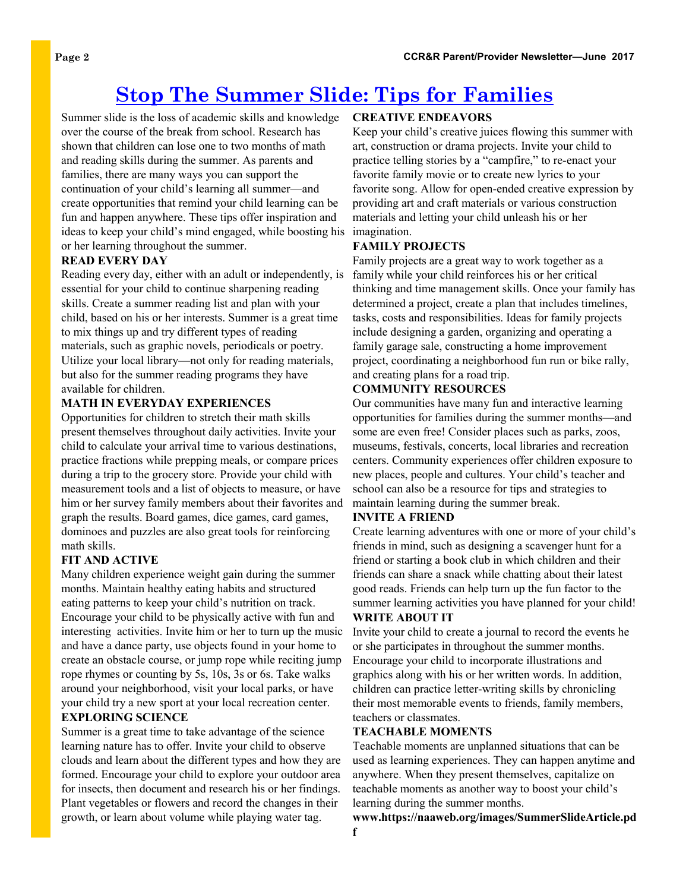## **Stop The Summer Slide: Tips for Families**

Summer slide is the loss of academic skills and knowledge over the course of the break from school. Research has shown that children can lose one to two months of math and reading skills during the summer. As parents and families, there are many ways you can support the continuation of your child's learning all summer—and create opportunities that remind your child learning can be fun and happen anywhere. These tips offer inspiration and ideas to keep your child's mind engaged, while boosting his imagination. or her learning throughout the summer.

#### **READ EVERY DAY**

Reading every day, either with an adult or independently, is essential for your child to continue sharpening reading skills. Create a summer reading list and plan with your child, based on his or her interests. Summer is a great time to mix things up and try different types of reading materials, such as graphic novels, periodicals or poetry. Utilize your local library—not only for reading materials, but also for the summer reading programs they have available for children.

#### **MATH IN EVERYDAY EXPERIENCES**

Opportunities for children to stretch their math skills present themselves throughout daily activities. Invite your child to calculate your arrival time to various destinations, practice fractions while prepping meals, or compare prices during a trip to the grocery store. Provide your child with measurement tools and a list of objects to measure, or have him or her survey family members about their favorites and graph the results. Board games, dice games, card games, dominoes and puzzles are also great tools for reinforcing math skills.

#### **FIT AND ACTIVE**

Many children experience weight gain during the summer months. Maintain healthy eating habits and structured eating patterns to keep your child's nutrition on track. Encourage your child to be physically active with fun and interesting activities. Invite him or her to turn up the music and have a dance party, use objects found in your home to create an obstacle course, or jump rope while reciting jump rope rhymes or counting by 5s, 10s, 3s or 6s. Take walks around your neighborhood, visit your local parks, or have your child try a new sport at your local recreation center. **EXPLORING SCIENCE** 

Summer is a great time to take advantage of the science learning nature has to offer. Invite your child to observe clouds and learn about the different types and how they are formed. Encourage your child to explore your outdoor area for insects, then document and research his or her findings. Plant vegetables or flowers and record the changes in their growth, or learn about volume while playing water tag.

#### **CREATIVE ENDEAVORS**

Keep your child's creative juices flowing this summer with art, construction or drama projects. Invite your child to practice telling stories by a "campfire," to re-enact your favorite family movie or to create new lyrics to your favorite song. Allow for open-ended creative expression by providing art and craft materials or various construction materials and letting your child unleash his or her

#### **FAMILY PROJECTS**

Family projects are a great way to work together as a family while your child reinforces his or her critical thinking and time management skills. Once your family has determined a project, create a plan that includes timelines, tasks, costs and responsibilities. Ideas for family projects include designing a garden, organizing and operating a family garage sale, constructing a home improvement project, coordinating a neighborhood fun run or bike rally, and creating plans for a road trip.

#### **COMMUNITY RESOURCES**

Our communities have many fun and interactive learning opportunities for families during the summer months—and some are even free! Consider places such as parks, zoos, museums, festivals, concerts, local libraries and recreation centers. Community experiences offer children exposure to new places, people and cultures. Your child's teacher and school can also be a resource for tips and strategies to maintain learning during the summer break.

#### **INVITE A FRIEND**

Create learning adventures with one or more of your child's friends in mind, such as designing a scavenger hunt for a friend or starting a book club in which children and their friends can share a snack while chatting about their latest good reads. Friends can help turn up the fun factor to the summer learning activities you have planned for your child!

#### **WRITE ABOUT IT**

Invite your child to create a journal to record the events he or she participates in throughout the summer months. Encourage your child to incorporate illustrations and graphics along with his or her written words. In addition, children can practice letter-writing skills by chronicling their most memorable events to friends, family members, teachers or classmates.

#### **TEACHABLE MOMENTS**

Teachable moments are unplanned situations that can be used as learning experiences. They can happen anytime and anywhere. When they present themselves, capitalize on teachable moments as another way to boost your child's learning during the summer months.

**www.https://naaweb.org/images/SummerSlideArticle.pd**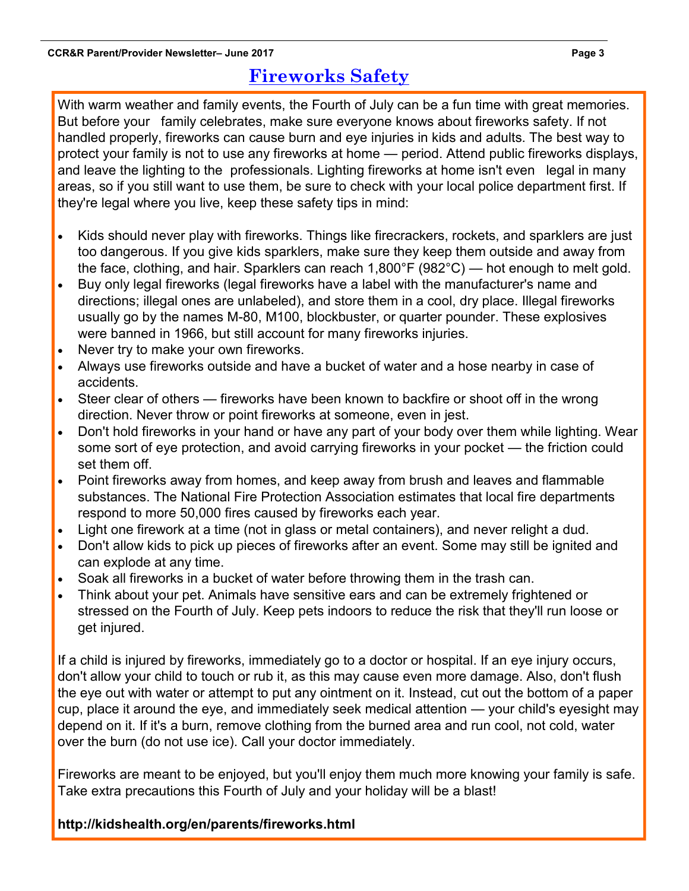### **Fireworks Safety**

With warm weather and family events, the Fourth of July can be a fun time with great memories. But before your family celebrates, make sure everyone knows about fireworks safety. If not handled properly, fireworks can cause burn and eye injuries in kids and adults. The best way to protect your family is not to use any fireworks at home — period. Attend public fireworks displays, and leave the lighting to the professionals. Lighting fireworks at home isn't even legal in many areas, so if you still want to use them, be sure to check with your local police department first. If they're legal where you live, keep these safety tips in mind:

- Kids should never play with fireworks. Things like firecrackers, rockets, and sparklers are just too dangerous. If you give kids sparklers, make sure they keep them outside and away from the face, clothing, and hair. Sparklers can reach 1,800°F (982°C) — hot enough to melt gold.
- Buy only legal fireworks (legal fireworks have a label with the manufacturer's name and directions; illegal ones are unlabeled), and store them in a cool, dry place. Illegal fireworks usually go by the names M-80, M100, blockbuster, or quarter pounder. These explosives were banned in 1966, but still account for many fireworks injuries.
- Never try to make your own fireworks.
- Always use fireworks outside and have a bucket of water and a hose nearby in case of accidents.
- Steer clear of others fireworks have been known to backfire or shoot off in the wrong direction. Never throw or point fireworks at someone, even in jest.
- Don't hold fireworks in your hand or have any part of your body over them while lighting. Wear some sort of eye protection, and avoid carrying fireworks in your pocket — the friction could set them off.
- Point fireworks away from homes, and keep away from brush and leaves and flammable substances. The National Fire Protection Association estimates that local fire departments respond to more 50,000 fires caused by fireworks each year.
- Light one firework at a time (not in glass or metal containers), and never relight a dud.
- Don't allow kids to pick up pieces of fireworks after an event. Some may still be ignited and can explode at any time.
- Soak all fireworks in a bucket of water before throwing them in the trash can.
- Think about your pet. Animals have sensitive ears and can be extremely frightened or stressed on the Fourth of July. Keep pets indoors to reduce the risk that they'll run loose or get injured.

If a child is injured by fireworks, immediately go to a doctor or hospital. If an eye injury occurs, don't allow your child to touch or rub it, as this may cause even more damage. Also, don't flush the eye out with water or attempt to put any ointment on it. Instead, cut out the bottom of a paper cup, place it around the eye, and immediately seek medical attention — your child's eyesight may depend on it. If it's a burn, remove clothing from the burned area and run cool, not cold, water over the burn (do not use ice). Call your doctor immediately.

Fireworks are meant to be enjoyed, but you'll enjoy them much more knowing your family is safe. Take extra precautions this Fourth of July and your holiday will be a blast!

**http://kidshealth.org/en/parents/fireworks.html**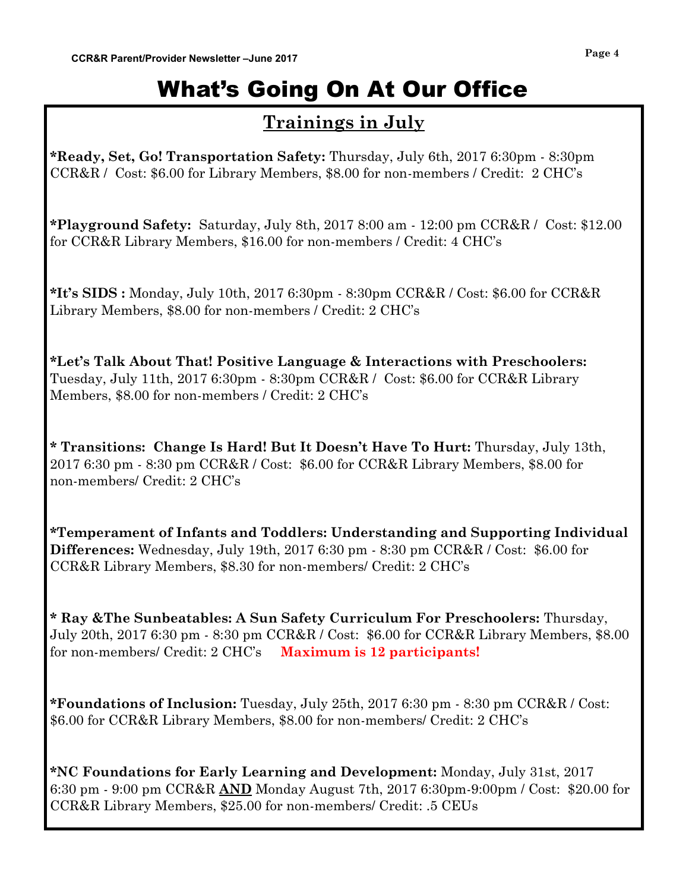# What's Going On At Our Office

### **Trainings in July**

**\*Ready, Set, Go! Transportation Safety:** Thursday, July 6th, 2017 6:30pm - 8:30pm CCR&R / Cost: \$6.00 for Library Members, \$8.00 for non-members / Credit: 2 CHC's

**\*Playground Safety:** Saturday, July 8th, 2017 8:00 am - 12:00 pm CCR&R / Cost: \$12.00 for CCR&R Library Members, \$16.00 for non-members / Credit: 4 CHC's

**\*It's SIDS :** Monday, July 10th, 2017 6:30pm - 8:30pm CCR&R / Cost: \$6.00 for CCR&R Library Members, \$8.00 for non-members / Credit: 2 CHC's

**\*Let's Talk About That! Positive Language & Interactions with Preschoolers:**  Tuesday, July 11th, 2017 6:30pm - 8:30pm CCR&R / Cost: \$6.00 for CCR&R Library Members, \$8.00 for non-members / Credit: 2 CHC's

**\* Transitions: Change Is Hard! But It Doesn't Have To Hurt:** Thursday, July 13th, 2017 6:30 pm - 8:30 pm CCR&R / Cost: \$6.00 for CCR&R Library Members, \$8.00 for non-members/ Credit: 2 CHC's

**\*Temperament of Infants and Toddlers: Understanding and Supporting Individual Differences:** Wednesday, July 19th, 2017 6:30 pm - 8:30 pm CCR&R / Cost: \$6.00 for CCR&R Library Members, \$8.30 for non-members/ Credit: 2 CHC's

**\* Ray &The Sunbeatables: A Sun Safety Curriculum For Preschoolers:** Thursday, July 20th, 2017 6:30 pm - 8:30 pm CCR&R / Cost: \$6.00 for CCR&R Library Members, \$8.00 for non-members/ Credit: 2 CHC's **Maximum is 12 participants!**

**\*Foundations of Inclusion:** Tuesday, July 25th, 2017 6:30 pm - 8:30 pm CCR&R / Cost: \$6.00 for CCR&R Library Members, \$8.00 for non-members/ Credit: 2 CHC's

**\*NC Foundations for Early Learning and Development:** Monday, July 31st, 2017 6:30 pm - 9:00 pm CCR&R **AND** Monday August 7th, 2017 6:30pm-9:00pm / Cost: \$20.00 for CCR&R Library Members, \$25.00 for non-members/ Credit: .5 CEUs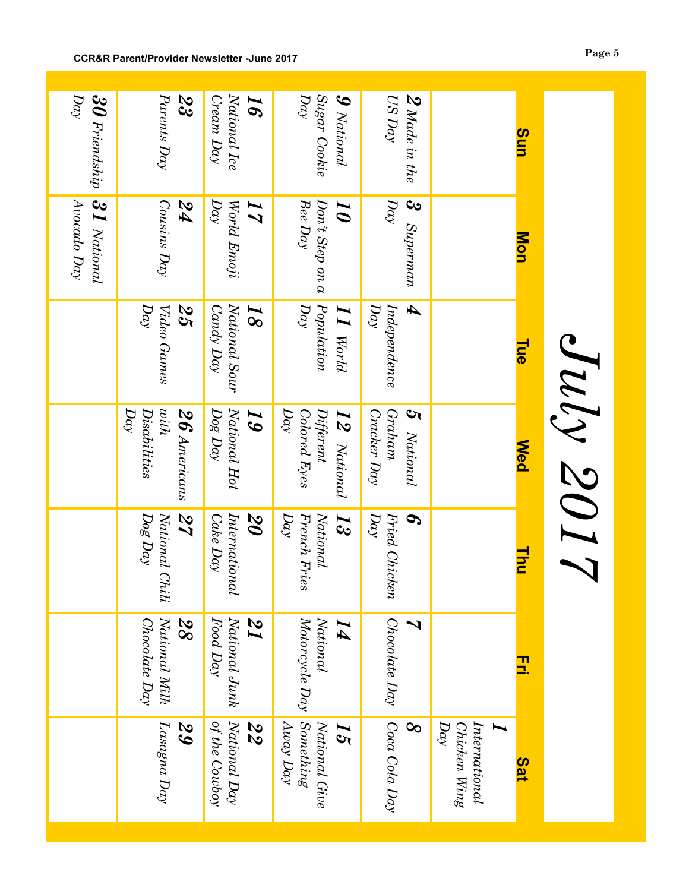|                                                |                                        |                                               |                                                                    |                                                        | 31 National<br>Avocado Day                          | Day<br>$30$ Friendship                           |
|------------------------------------------------|----------------------------------------|-----------------------------------------------|--------------------------------------------------------------------|--------------------------------------------------------|-----------------------------------------------------|--------------------------------------------------|
| Lasagna Day<br>29                              | National Milk<br>28<br>Chocolate Day   | 27<br>Dog Day<br>National Chili               | hith<br>Day<br>Disabilities<br>$26$ Americans                      | $\overline{Q}$<br>25<br>Video Games                    | Cousins Day<br>PZ                                   | Parents Day<br>23                                |
| National Day<br>of the Cowboy<br>22            | National Junk<br>$Food$ $Day$<br>22    | International<br>20<br>Cake Day               | National Hot<br>$\it{Deg~Day}$<br>$\boldsymbol{5}$                 | National Sour<br>Candy Day<br>$\overline{\mathcal{S}}$ | Day<br>World Emoji<br>$\overline{I}$                | National Ice<br>$C$ ream $Day$<br>$\bm{g}$       |
| Something<br>$Away$ Day<br>National Give<br>15 | Motorcycle Day<br>National<br>$\bm{I}$ | French Fries<br>National<br>$\mu y$<br>5<br>S | Day<br>Colored Eyes<br>$\label{prop:opt} Different$<br>12 National | $P$ opulation<br>$D\alpha\gamma$<br>$I$ I World        | Bee Day<br>$Don't$ Step on a<br>$\overline{\bm{0}}$ | Day<br>Sugar Cookie<br>$\boldsymbol{9}$ National |
| Coca Cola Day<br>$\infty$                      | Chocolate Day<br>ゝ                     | Fried Chicken<br>Day<br>S                     | Graham<br>5 National<br>Cracker Day                                | Ð<br>$D\alpha\gamma$<br>In dependence                  | $D\alpha$<br>3 Superman                             | $US$ Day<br>$2$ Made in the                      |
| International<br>$D\alpha y$<br>Chicken Wing   |                                        |                                               |                                                                    |                                                        |                                                     |                                                  |
| <b>Sat</b>                                     | 3                                      | <u>Thu</u>                                    | <b>Ned</b>                                                         | <b>Tue</b>                                             | <b>Mon</b>                                          | Sun                                              |
|                                                |                                        |                                               | Suly 2017                                                          |                                                        |                                                     |                                                  |